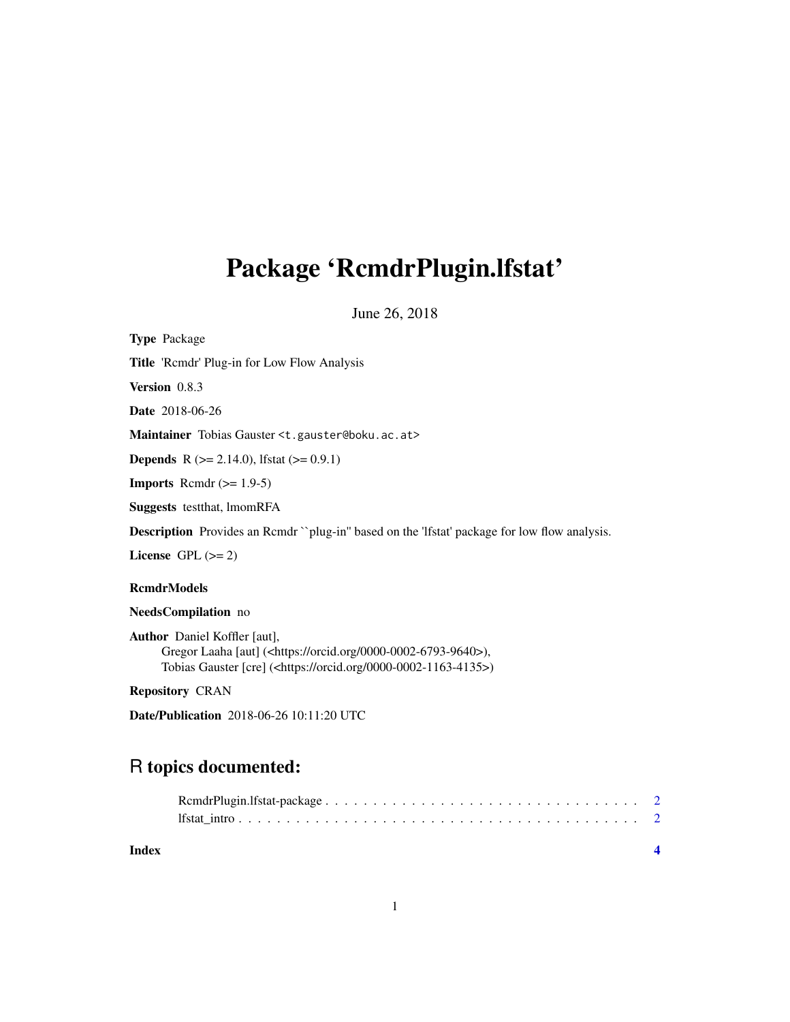## Package 'RcmdrPlugin.lfstat'

June 26, 2018

| <b>Type Package</b>                                                                                   |
|-------------------------------------------------------------------------------------------------------|
| <b>Title</b> 'Remdr' Plug-in for Low Flow Analysis                                                    |
| <b>Version</b> 0.8.3                                                                                  |
| <b>Date</b> 2018-06-26                                                                                |
| Maintainer Tobias Gauster < t. gauster @boku. ac. at>                                                 |
| <b>Depends</b> R $(>= 2.14.0)$ , Ifstat $(>= 0.9.1)$                                                  |
| <b>Imports</b> Remdr $(>= 1.9-5)$                                                                     |
| <b>Suggests</b> test that, ImomRFA                                                                    |
| <b>Description</b> Provides an Rcmdr ``plug-in'' based on the 'lfstat' package for low flow analysis. |
| License $GPL (= 2)$                                                                                   |
| <b>RcmdrModels</b>                                                                                    |
| NeedsCompilation no                                                                                   |
| <b>Author</b> Daniel Koffler [aut],                                                                   |

Gregor Laaha [aut] (<https://orcid.org/0000-0002-6793-9640>), Tobias Gauster [cre] (<https://orcid.org/0000-0002-1163-4135>)

Repository CRAN

Date/Publication 2018-06-26 10:11:20 UTC

### R topics documented:

| Index |  |
|-------|--|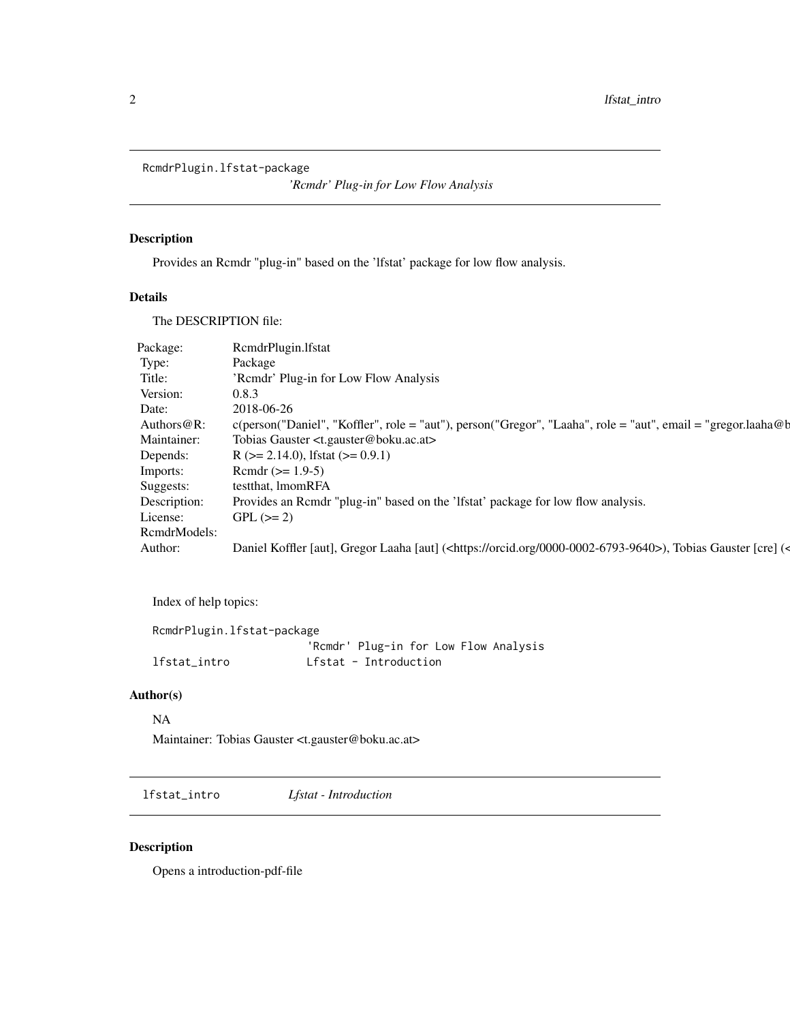<span id="page-1-0"></span>RcmdrPlugin.lfstat-package

*'Rcmdr' Plug-in for Low Flow Analysis*

#### Description

Provides an Rcmdr "plug-in" based on the 'lfstat' package for low flow analysis.

#### Details

The DESCRIPTION file:

| Package:     | RcmdrPlugin.lfstat                                                                                                               |
|--------------|----------------------------------------------------------------------------------------------------------------------------------|
| Type:        | Package                                                                                                                          |
| Title:       | 'Remdr' Plug-in for Low Flow Analysis                                                                                            |
| Version:     | 0.8.3                                                                                                                            |
| Date:        | 2018-06-26                                                                                                                       |
| Authors@R:   | c(person("Daniel", "Koffler", role = "aut"), person("Gregor", "Laaha", role = "aut", email = "gregor.laaha@b                     |
| Maintainer:  | Tobias Gauster <t.gauster@boku.ac.at></t.gauster@boku.ac.at>                                                                     |
| Depends:     | R ( $> = 2.14.0$ ), lfstat ( $> = 0.9.1$ )                                                                                       |
| Imports:     | Rcmdr $(>= 1.9-5)$                                                                                                               |
| Suggests:    | testthat, lmomRFA                                                                                                                |
| Description: | Provides an Rcmdr "plug-in" based on the 'lfstat' package for low flow analysis.                                                 |
| License:     | $GPL (= 2)$                                                                                                                      |
| RcmdrModels: |                                                                                                                                  |
| Author:      | Daniel Koffler [aut], Gregor Laaha [aut] ( <https: 0000-0002-6793-9640="" orcid.org="">), Tobias Gauster [cre] (<a></a></https:> |

Index of help topics:

```
RcmdrPlugin.lfstat-package
                     'Rcmdr' Plug-in for Low Flow Analysis
lfstat_intro Lfstat - Introduction
```
#### Author(s)

NA

Maintainer: Tobias Gauster <t.gauster@boku.ac.at>

lfstat\_intro *Lfstat - Introduction*

#### Description

Opens a introduction-pdf-file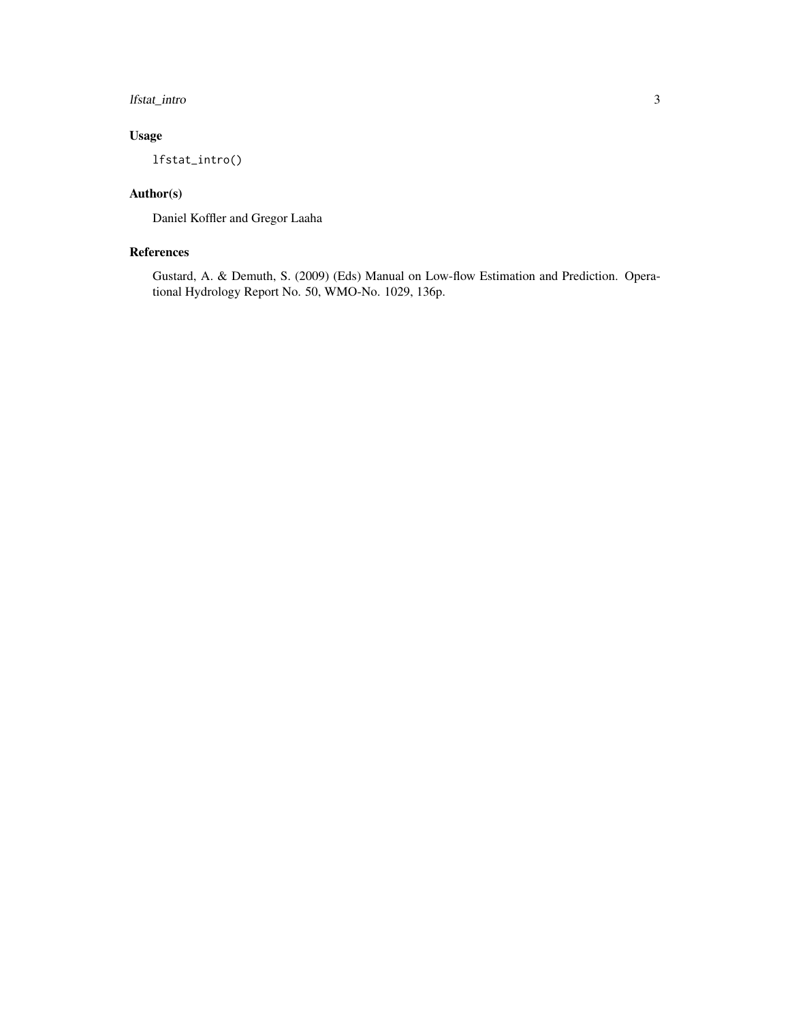#### lfstat\_intro 3

#### Usage

lfstat\_intro()

#### Author(s)

Daniel Koffler and Gregor Laaha

#### References

Gustard, A. & Demuth, S. (2009) (Eds) Manual on Low-flow Estimation and Prediction. Operational Hydrology Report No. 50, WMO-No. 1029, 136p.